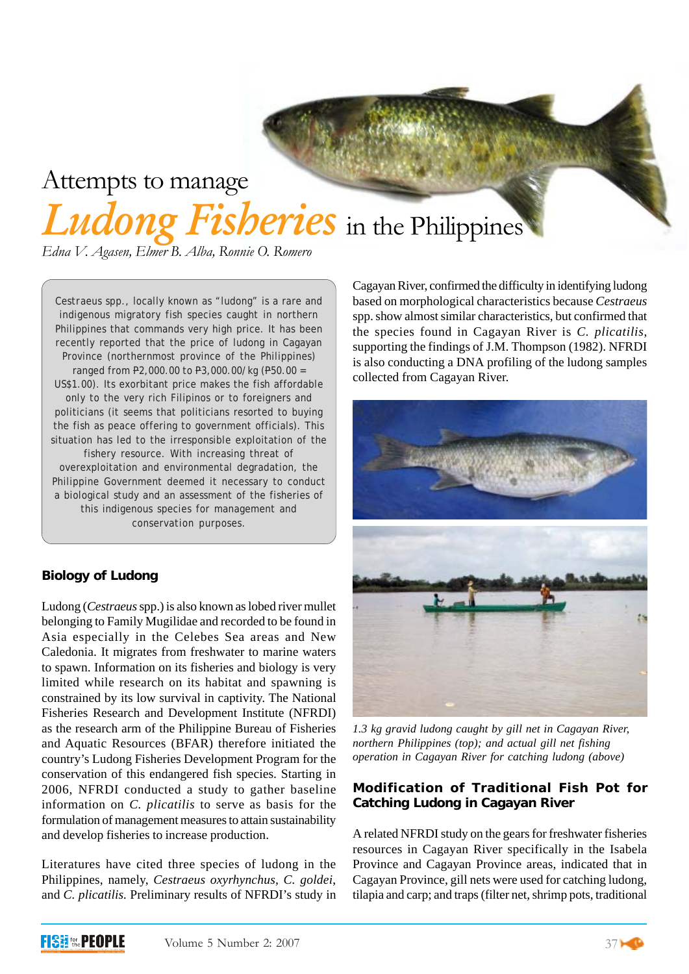# Attempts to manage

*Ludong Fisheries* in the Philippines

*Edna V. Agasen, Elmer B. Alba, Ronnie O. Romero*

*Cestraeus* spp., locally known as "ludong" is a rare and indigenous migratory fish species caught in northern Philippines that commands very high price. It has been recently reported that the price of ludong in Cagayan Province (northernmost province of the Philippines) ranged from P2,000.00 to P3,000.00/kg (P50.00 = US\$1.00). Its exorbitant price makes the fish affordable only to the very rich Filipinos or to foreigners and politicians (it seems that politicians resorted to buying the fish as peace offering to government officials). This situation has led to the irresponsible exploitation of the fishery resource. With increasing threat of overexploitation and environmental degradation, the Philippine Government deemed it necessary to conduct a biological study and an assessment of the fisheries of this indigenous species for management and conservation purposes.

## **Biology of Ludong**

Ludong (*Cestraeus* spp.) is also known as lobed river mullet belonging to Family Mugilidae and recorded to be found in Asia especially in the Celebes Sea areas and New Caledonia. It migrates from freshwater to marine waters to spawn. Information on its fisheries and biology is very limited while research on its habitat and spawning is constrained by its low survival in captivity. The National Fisheries Research and Development Institute (NFRDI) as the research arm of the Philippine Bureau of Fisheries and Aquatic Resources (BFAR) therefore initiated the country's Ludong Fisheries Development Program for the conservation of this endangered fish species. Starting in 2006, NFRDI conducted a study to gather baseline information on *C. plicatilis* to serve as basis for the formulation of management measures to attain sustainability and develop fisheries to increase production.

Literatures have cited three species of ludong in the Philippines, namely, *Cestraeus oxyrhynchus, C. goldei*, and *C. plicatilis.* Preliminary results of NFRDI's study in

Cagayan River, confirmed the difficulty in identifying ludong based on morphological characteristics because *Cestraeus* spp. show almost similar characteristics, but confirmed that the species found in Cagayan River is *C. plicatilis*, supporting the findings of J.M. Thompson (1982). NFRDI is also conducting a DNA profiling of the ludong samples collected from Cagayan River.



*1.3 kg gravid ludong caught by gill net in Cagayan River, northern Philippines (top); and actual gill net fishing operation in Cagayan River for catching ludong (above)*

## **Modification of Traditional Fish Pot for Catching Ludong in Cagayan River**

A related NFRDI study on the gears for freshwater fisheries resources in Cagayan River specifically in the Isabela Province and Cagayan Province areas, indicated that in Cagayan Province, gill nets were used for catching ludong, tilapia and carp; and traps (filter net, shrimp pots, traditional

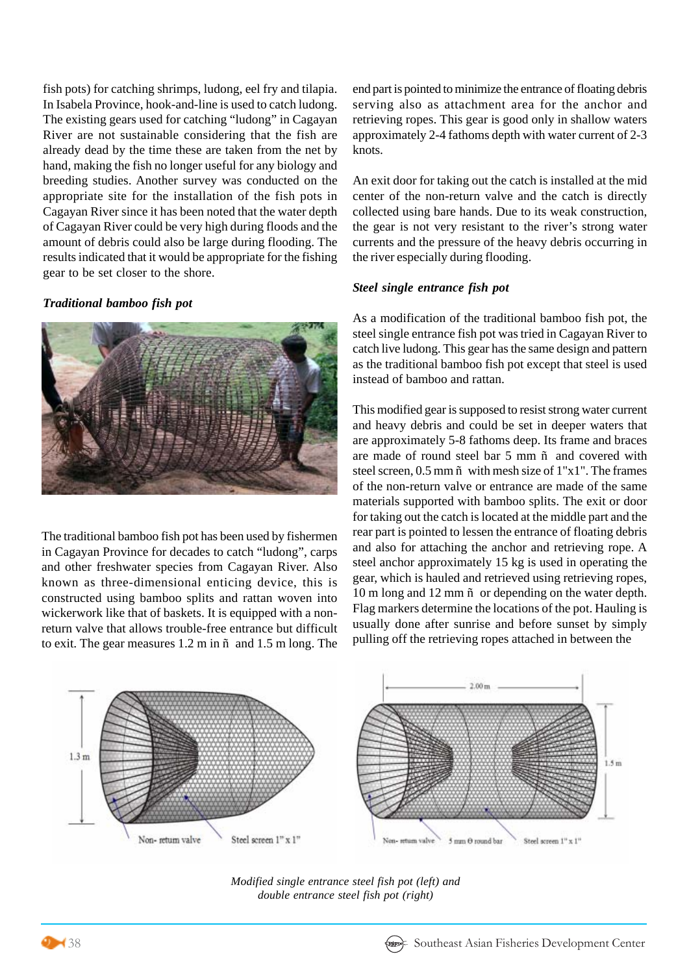fish pots) for catching shrimps, ludong, eel fry and tilapia. In Isabela Province, hook-and-line is used to catch ludong. The existing gears used for catching "ludong" in Cagayan River are not sustainable considering that the fish are already dead by the time these are taken from the net by hand, making the fish no longer useful for any biology and breeding studies. Another survey was conducted on the appropriate site for the installation of the fish pots in Cagayan River since it has been noted that the water depth of Cagayan River could be very high during floods and the amount of debris could also be large during flooding. The results indicated that it would be appropriate for the fishing gear to be set closer to the shore.

#### *Traditional bamboo fish pot*



The traditional bamboo fish pot has been used by fishermen in Cagayan Province for decades to catch "ludong", carps and other freshwater species from Cagayan River. Also known as three-dimensional enticing device, this is constructed using bamboo splits and rattan woven into wickerwork like that of baskets. It is equipped with a nonreturn valve that allows trouble-free entrance but difficult to exit. The gear measures 1.2 m in ñ and 1.5 m long. The

end part is pointed to minimize the entrance of floating debris serving also as attachment area for the anchor and retrieving ropes. This gear is good only in shallow waters approximately 2-4 fathoms depth with water current of 2-3 knots.

An exit door for taking out the catch is installed at the mid center of the non-return valve and the catch is directly collected using bare hands. Due to its weak construction, the gear is not very resistant to the river's strong water currents and the pressure of the heavy debris occurring in the river especially during flooding.

#### *Steel single entrance fish pot*

As a modification of the traditional bamboo fish pot, the steel single entrance fish pot was tried in Cagayan River to catch live ludong. This gear has the same design and pattern as the traditional bamboo fish pot except that steel is used instead of bamboo and rattan.

This modified gear is supposed to resist strong water current and heavy debris and could be set in deeper waters that are approximately 5-8 fathoms deep. Its frame and braces are made of round steel bar 5 mm ñ and covered with steel screen,  $0.5$  mm  $\tilde{n}$  with mesh size of  $1"x1"$ . The frames of the non-return valve or entrance are made of the same materials supported with bamboo splits. The exit or door for taking out the catch is located at the middle part and the rear part is pointed to lessen the entrance of floating debris and also for attaching the anchor and retrieving rope. A steel anchor approximately 15 kg is used in operating the gear, which is hauled and retrieved using retrieving ropes, 10 m long and 12 mm ñ or depending on the water depth. Flag markers determine the locations of the pot. Hauling is usually done after sunrise and before sunset by simply pulling off the retrieving ropes attached in between the



*Modified single entrance steel fish pot (left) and double entrance steel fish pot (right)*